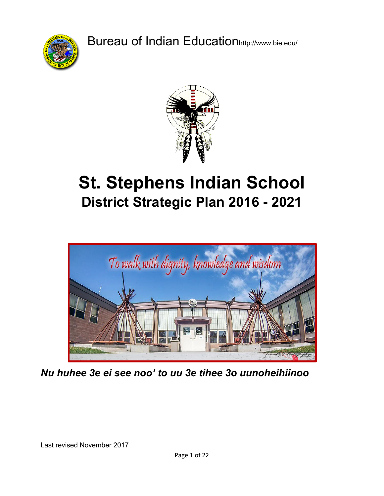Bureau of Indian Educationhttp://www.bie.edu/





# **St. Stephens Indian School District Strategic Plan 2016 - 2021**



*Nu huhee 3e ei see noo' to uu 3e tihee 3o uunoheihiinoo*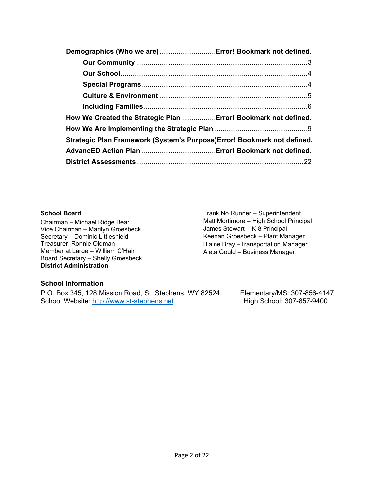| Demographics (Who we are) Error! Bookmark not defined.                   |  |
|--------------------------------------------------------------------------|--|
|                                                                          |  |
|                                                                          |  |
|                                                                          |  |
|                                                                          |  |
|                                                                          |  |
| How We Created the Strategic Plan  Error! Bookmark not defined.          |  |
|                                                                          |  |
| Strategic Plan Framework (System's Purpose) Error! Bookmark not defined. |  |
|                                                                          |  |
|                                                                          |  |

#### **School Board**

Chairman – Michael Ridge Bear Vice Chairman – Marilyn Groesbeck Secretary – Dominic Littleshield Treasurer–Ronnie Oldman Member at Large – William C'Hair Board Secretary – Shelly Groesbeck **District Administration** 

Frank No Runner – Superintendent Matt Mortimore – High School Principal James Stewart – K-8 Principal Keenan Groesbeck – Plant Manager Blaine Bray –Transportation Manager Aleta Gould – Business Manager

#### **School Information**

P.O. Box 345, 128 Mission Road, St. Stephens, WY 82524 Elementary/MS: 307-856-4147 School Website: [http://www.st-stephens.net](http://www.st-stephens.net/) High School: 307-857-9400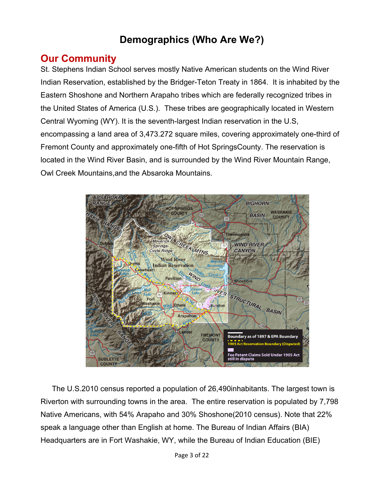# **Demographics (Who Are We?)**

### <span id="page-2-0"></span>**Our Community**

St. Stephens Indian School serves mostly Native American students on the Wind River Indian Reservation, established by the Bridger-Teton Treaty in 1864. It is inhabited by the Eastern Shoshone and Northern Arapaho tribes which are federally recognized tribes in the United States of America (U.S.). These tribes are geographically located in Western Central Wyoming (WY). It is the seventh-largest Indian reservation in the U.S, encompassing a land area of 3,473.272 square miles, covering approximately one-third of Fremont County and approximately one-fifth of Hot SpringsCounty. The reservation is located in the Wind River Basin, and is surrounded by the Wind River Mountain Range, Owl Creek Mountains,and the Absaroka Mountains.



The U.S.2010 census reported a population of 26,490inhabitants. The largest town is Riverton with surrounding towns in the area. The entire reservation is populated by 7,798 Native Americans, with 54% Arapaho and 30% Shoshone(2010 census). Note that 22% speak a language other than English at home. The Bureau of Indian Affairs (BIA) Headquarters are in Fort Washakie, WY, while the Bureau of Indian Education (BIE)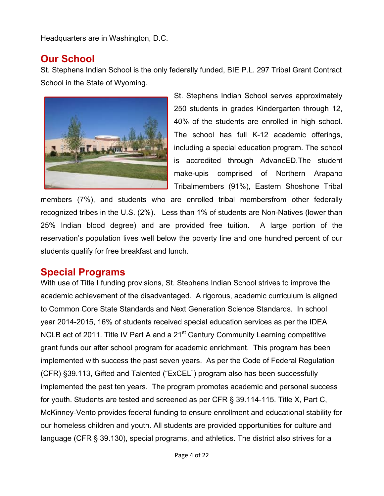Headquarters are in Washington, D.C.

### <span id="page-3-0"></span>**Our School**

St. Stephens Indian School is the only federally funded, BIE P.L. 297 Tribal Grant Contract School in the State of Wyoming.



St. Stephens Indian School serves approximately 250 students in grades Kindergarten through 12, 40% of the students are enrolled in high school. The school has full K-12 academic offerings, including a special education program. The school is accredited through AdvancED.The student make-upis comprised of Northern Arapaho Tribalmembers (91%), Eastern Shoshone Tribal

members (7%), and students who are enrolled tribal membersfrom other federally recognized tribes in the U.S. (2%). Less than 1% of students are Non-Natives (lower than 25% Indian blood degree) and are provided free tuition. A large portion of the reservation's population lives well below the poverty line and one hundred percent of our students qualify for free breakfast and lunch.

### <span id="page-3-1"></span>**Special Programs**

With use of Title I funding provisions, St. Stephens Indian School strives to improve the academic achievement of the disadvantaged. A rigorous, academic curriculum is aligned to Common Core State Standards and Next Generation Science Standards. In school year 2014-2015, 16% of students received special education services as per the IDEA NCLB act of 2011. Title IV Part A and a 21<sup>st</sup> Century Community Learning competitive grant funds our after school program for academic enrichment. This program has been implemented with success the past seven years. As per the Code of Federal Regulation (CFR) §39.113, Gifted and Talented ("ExCEL") program also has been successfully implemented the past ten years. The program promotes academic and personal success for youth. Students are tested and screened as per CFR § 39.114-115. Title X, Part C, McKinney-Vento provides federal funding to ensure enrollment and educational stability for our homeless children and youth. All students are provided opportunities for culture and language (CFR § 39.130), special programs, and athletics. The district also strives for a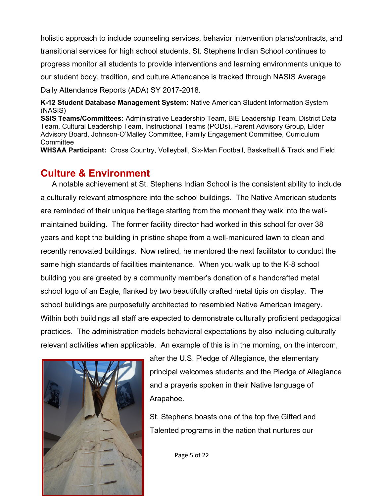holistic approach to include counseling services, behavior intervention plans/contracts, and transitional services for high school students. St. Stephens Indian School continues to progress monitor all students to provide interventions and learning environments unique to our student body, tradition, and culture.Attendance is tracked through NASIS Average Daily Attendance Reports (ADA) SY 2017-2018.

**K-12 Student Database Management System:** Native American Student Information System (NASIS)

**SSIS Teams/Committees:** Administrative Leadership Team, BIE Leadership Team, District Data Team, Cultural Leadership Team, Instructional Teams (PODs), Parent Advisory Group, Elder Advisory Board, Johnson-O'Malley Committee, Family Engagement Committee, Curriculum **Committee** 

<span id="page-4-0"></span>**WHSAA Participant:** Cross Country, Volleyball, Six-Man Football, Basketball,& Track and Field

### **Culture & Environment**

A notable achievement at St. Stephens Indian School is the consistent ability to include a culturally relevant atmosphere into the school buildings. The Native American students are reminded of their unique heritage starting from the moment they walk into the wellmaintained building. The former facility director had worked in this school for over 38 years and kept the building in pristine shape from a well-manicured lawn to clean and recently renovated buildings. Now retired, he mentored the next facilitator to conduct the same high standards of facilities maintenance. When you walk up to the K-8 school building you are greeted by a community member's donation of a handcrafted metal school logo of an Eagle, flanked by two beautifully crafted metal tipis on display. The school buildings are purposefully architected to resembled Native American imagery. Within both buildings all staff are expected to demonstrate culturally proficient pedagogical practices. The administration models behavioral expectations by also including culturally relevant activities when applicable. An example of this is in the morning, on the intercom,



after the U.S. Pledge of Allegiance, the elementary principal welcomes students and the Pledge of Allegiance and a prayeris spoken in their Native language of Arapahoe.

St. Stephens boasts one of the top five Gifted and Talented programs in the nation that nurtures our

Page 5 of 22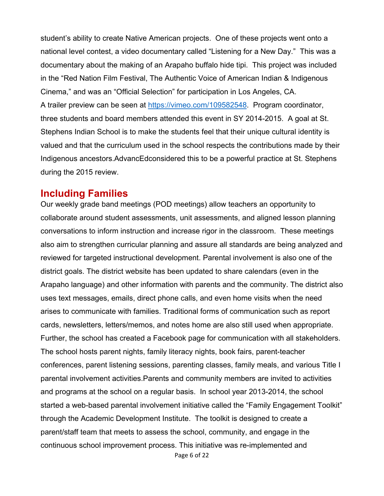student's ability to create Native American projects. One of these projects went onto a national level contest, a video documentary called "Listening for a New Day." This was a documentary about the making of an Arapaho buffalo hide tipi. This project was included in the "Red Nation Film Festival, The Authentic Voice of American Indian & Indigenous Cinema," and was an "Official Selection" for participation in Los Angeles, CA. A trailer preview can be seen at [https://vimeo.com/109582548.](https://vimeo.com/109582548) Program coordinator, three students and board members attended this event in SY 2014-2015. A goal at St. Stephens Indian School is to make the students feel that their unique cultural identity is valued and that the curriculum used in the school respects the contributions made by their Indigenous ancestors.AdvancEdconsidered this to be a powerful practice at St. Stephens during the 2015 review.

#### <span id="page-5-0"></span>**Including Families**

Page 6 of 22 Our weekly grade band meetings (POD meetings) allow teachers an opportunity to collaborate around student assessments, unit assessments, and aligned lesson planning conversations to inform instruction and increase rigor in the classroom. These meetings also aim to strengthen curricular planning and assure all standards are being analyzed and reviewed for targeted instructional development. Parental involvement is also one of the district goals. The district website has been updated to share calendars (even in the Arapaho language) and other information with parents and the community. The district also uses text messages, emails, direct phone calls, and even home visits when the need arises to communicate with families. Traditional forms of communication such as report cards, newsletters, letters/memos, and notes home are also still used when appropriate. Further, the school has created a Facebook page for communication with all stakeholders. The school hosts parent nights, family literacy nights, book fairs, parent-teacher conferences, parent listening sessions, parenting classes, family meals, and various Title I parental involvement activities.Parents and community members are invited to activities and programs at the school on a regular basis. In school year 2013-2014, the school started a web-based parental involvement initiative called the "Family Engagement Toolkit" through the Academic Development Institute. The toolkit is designed to create a parent/staff team that meets to assess the school, community, and engage in the continuous school improvement process. This initiative was re-implemented and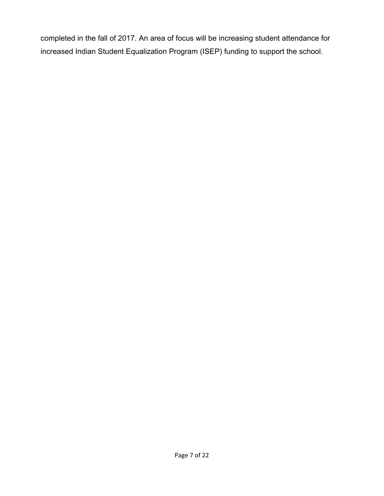completed in the fall of 2017. An area of focus will be increasing student attendance for increased Indian Student Equalization Program (ISEP) funding to support the school.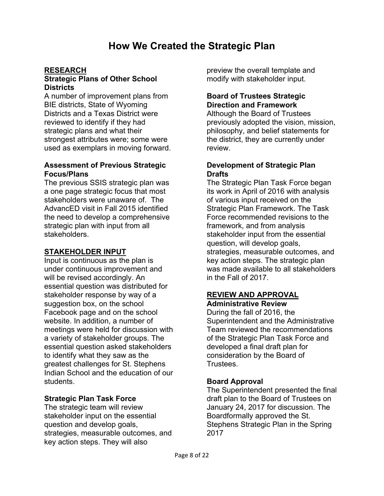#### **RESEARCH**

#### **Strategic Plans of Other School Districts**

A number of improvement plans from BIE districts, State of Wyoming Districts and a Texas District were reviewed to identify if they had strategic plans and what their strongest attributes were; some were used as exemplars in moving forward.

#### **Assessment of Previous Strategic Focus/Plans**

The previous SSIS strategic plan was a one page strategic focus that most stakeholders were unaware of. The AdvancED visit in Fall 2015 identified the need to develop a comprehensive strategic plan with input from all stakeholders.

#### **STAKEHOLDER INPUT**

Input is continuous as the plan is under continuous improvement and will be revised accordingly. An essential question was distributed for stakeholder response by way of a suggestion box, on the school Facebook page and on the school website. In addition, a number of meetings were held for discussion with a variety of stakeholder groups. The essential question asked stakeholders to identify what they saw as the greatest challenges for St. Stephens Indian School and the education of our students.

#### **Strategic Plan Task Force**

The strategic team will review stakeholder input on the essential question and develop goals, strategies, measurable outcomes, and key action steps. They will also

preview the overall template and modify with stakeholder input.

#### **Board of Trustees Strategic Direction and Framework**

Although the Board of Trustees previously adopted the vision, mission, philosophy, and belief statements for the district, they are currently under review.

#### **Development of Strategic Plan Drafts**

The Strategic Plan Task Force began its work in April of 2016 with analysis of various input received on the Strategic Plan Framework. The Task Force recommended revisions to the framework, and from analysis stakeholder input from the essential question, will develop goals, strategies, measurable outcomes, and key action steps. The strategic plan was made available to all stakeholders in the Fall of 2017.

#### **REVIEW AND APPROVAL Administrative Review**

During the fall of 2016, the Superintendent and the Administrative Team reviewed the recommendations of the Strategic Plan Task Force and developed a final draft plan for consideration by the Board of Trustees.

#### **Board Approval**

The Superintendent presented the final draft plan to the Board of Trustees on January 24, 2017 for discussion. The Boardformally approved the St. Stephens Strategic Plan in the Spring 2017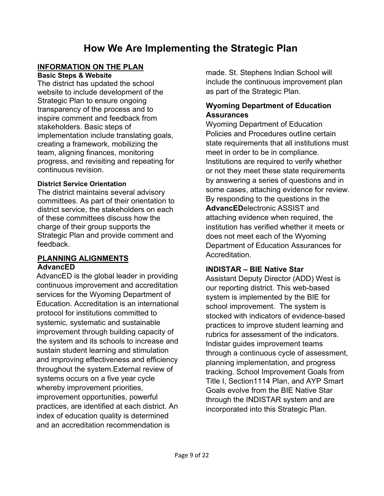# **How We Are Implementing the Strategic Plan**

#### **INFORMATION ON THE PLAN**

**Basic Steps & Website**

The district has updated the school website to include development of the Strategic Plan to ensure ongoing transparency of the process and to inspire comment and feedback from stakeholders. Basic steps of implementation include translating goals, creating a framework, mobilizing the team, aligning finances, monitoring progress, and revisiting and repeating for continuous revision.

#### **District Service Orientation**

The district maintains several advisory committees. As part of their orientation to district service, the stakeholders on each of these committees discuss how the charge of their group supports the Strategic Plan and provide comment and feedback.

#### **PLANNING ALIGNMENTS AdvancED**

AdvancED is the global leader in providing continuous improvement and accreditation services for the Wyoming Department of Education. Accreditation is an international protocol for institutions committed to systemic, systematic and sustainable improvement through building capacity of the system and its schools to increase and sustain student learning and stimulation and improving effectiveness and efficiency throughout the system.External review of systems occurs on a five year cycle whereby improvement priorities, improvement opportunities, powerful practices, are identified at each district. An index of education quality is determined and an accreditation recommendation is

made. St. Stephens Indian School will include the continuous improvement plan as part of the Strategic Plan.

#### **Wyoming Department of Education Assurances**

Wyoming Department of Education Policies and Procedures outline certain state requirements that all institutions must meet in order to be in compliance. Institutions are required to verify whether or not they meet these state requirements by answering a series of questions and in some cases, attaching evidence for review. By responding to the questions in the **AdvancED**electronic ASSIST and attaching evidence when required, the institution has verified whether it meets or does not meet each of the Wyoming Department of Education Assurances for Accreditation.

#### **INDISTAR – BIE Native Star**

Assistant Deputy Director (ADD) West is our reporting district. This web-based system is implemented by the BIE for school improvement. The system is stocked with indicators of evidence-based practices to improve student learning and rubrics for assessment of the indicators. Indistar guides improvement teams through a continuous cycle of assessment, planning implementation, and progress tracking. School Improvement Goals from Title I, Section1114 Plan, and AYP Smart Goals evolve from the BIE Native Star through the INDISTAR system and are incorporated into this Strategic Plan.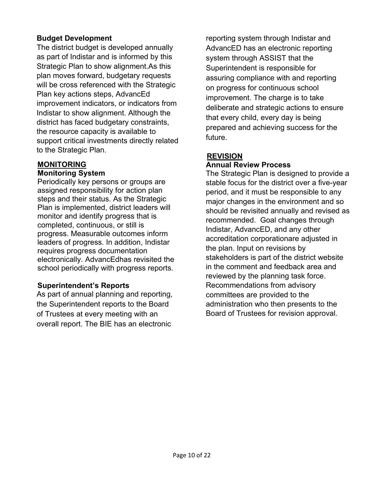#### **Budget Development**

The district budget is developed annually as part of Indistar and is informed by this Strategic Plan to show alignment.As this plan moves forward, budgetary requests will be cross referenced with the Strategic Plan key actions steps, AdvancEd improvement indicators, or indicators from Indistar to show alignment. Although the district has faced budgetary constraints, the resource capacity is available to support critical investments directly related to the Strategic Plan.

### **MONITORING**

#### **Monitoring System**

Periodically key persons or groups are assigned responsibility for action plan steps and their status. As the Strategic Plan is implemented, district leaders will monitor and identify progress that is completed, continuous, or still is progress. Measurable outcomes inform leaders of progress. In addition, Indistar requires progress documentation electronically. AdvancEdhas revisited the school periodically with progress reports.

#### **Superintendent's Reports**

As part of annual planning and reporting, the Superintendent reports to the Board of Trustees at every meeting with an overall report. The BIE has an electronic

reporting system through Indistar and AdvancED has an electronic reporting system through ASSIST that the Superintendent is responsible for assuring compliance with and reporting on progress for continuous school improvement. The charge is to take deliberate and strategic actions to ensure that every child, every day is being prepared and achieving success for the future.

#### **REVISION Annual Review Process**

The Strategic Plan is designed to provide a stable focus for the district over a five-year period, and it must be responsible to any major changes in the environment and so should be revisited annually and revised as recommended. Goal changes through Indistar, AdvancED, and any other accreditation corporationare adjusted in the plan. Input on revisions by stakeholders is part of the district website in the comment and feedback area and reviewed by the planning task force. Recommendations from advisory committees are provided to the administration who then presents to the Board of Trustees for revision approval.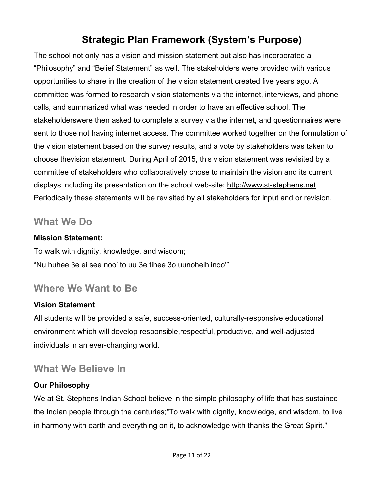# **Strategic Plan Framework (System's Purpose)**

The school not only has a vision and mission statement but also has incorporated a "Philosophy" and "Belief Statement" as well. The stakeholders were provided with various opportunities to share in the creation of the vision statement created five years ago. A committee was formed to research vision statements via the internet, interviews, and phone calls, and summarized what was needed in order to have an effective school. The stakeholderswere then asked to complete a survey via the internet, and questionnaires were sent to those not having internet access. The committee worked together on the formulation of the vision statement based on the survey results, and a vote by stakeholders was taken to choose thevision statement. During April of 2015, this vision statement was revisited by a committee of stakeholders who collaboratively chose to maintain the vision and its current displays including its presentation on the school web-site: [http://www.st-stephens.net](http://www.st-stephens.net/)  Periodically these statements will be revisited by all stakeholders for input and or revision.

### **What We Do**

#### **Mission Statement:**

To walk with dignity, knowledge, and wisdom; "Nu huhee 3e ei see noo' to uu 3e tihee 3o uunoheihiinoo'"

# **Where We Want to Be**

#### **Vision Statement**

All students will be provided a safe, success-oriented, culturally-responsive educational environment which will develop responsible,respectful, productive, and well-adjusted individuals in an ever-changing world.

# **What We Believe In**

#### **Our Philosophy**

We at St. Stephens Indian School believe in the simple philosophy of life that has sustained the Indian people through the centuries;"To walk with dignity, knowledge, and wisdom, to live in harmony with earth and everything on it, to acknowledge with thanks the Great Spirit."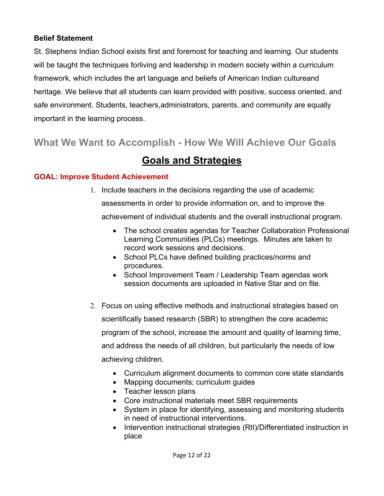#### **Belief Statement**

St. Stephens Indian School exists first and foremost for teaching and learning. Our students will be taught the techniques forliving and leadership in modern society within a curriculum framework, which includes the art language and beliefs of American Indian cultureand heritage. We believe that all students can learn provided with positive, success oriented, and safe environment. Students, teachers,administrators, parents, and community are equally important in the learning process.

# **What We Want to Accomplish - How We Will Achieve Our Goals**

# **Goals and Strategies**

#### **GOAL: Improve Student Achievement**

- 1. Include teachers in the decisions regarding the use of academic assessments in order to provide information on, and to improve the achievement of individual students and the overall instructional program.
	- The school creates agendas for Teacher Collaboration Professional Learning Communities (PLCs) meetings. Minutes are taken to record work sessions and decisions.
	- School PLCs have defined building practices/norms and procedures.
	- School Improvement Team / Leadership Team agendas work session documents are uploaded in Native Star and on file.
- 2. Focus on using effective methods and instructional strategies based on scientifically based research (SBR) to strengthen the core academic program of the school, increase the amount and quality of learning time, and address the needs of all children, but particularly the needs of low achieving children.
	- Curriculum alignment documents to common core state standards
	- Mapping documents; curriculum guides
	- Teacher lesson plans
	- Core instructional materials meet SBR requirements
	- System in place for identifying, assessing and monitoring students in need of instructional interventions.
	- Intervention instructional strategies (RtI)/Differentiated instruction in place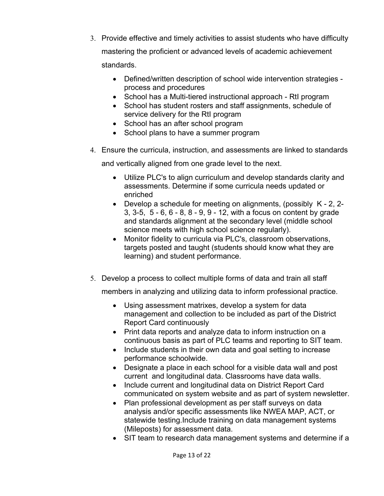- 3. Provide effective and timely activities to assist students who have difficulty mastering the proficient or advanced levels of academic achievement standards.
	- Defined/written description of school wide intervention strategies process and procedures
	- School has a Multi-tiered instructional approach RtI program
	- School has student rosters and staff assignments, schedule of service delivery for the RtI program
	- School has an after school program
	- School plans to have a summer program
- 4. Ensure the curricula, instruction, and assessments are linked to standards

and vertically aligned from one grade level to the next.

- Utilize PLC's to align curriculum and develop standards clarity and assessments. Determine if some curricula needs updated or enriched
- Develop a schedule for meeting on alignments, (possibly K 2, 2- 3, 3-5, 5 - 6, 6 - 8, 8 - 9, 9 - 12, with a focus on content by grade and standards alignment at the secondary level (middle school science meets with high school science regularly).
- Monitor fidelity to curricula via PLC's, classroom observations, targets posted and taught (students should know what they are learning) and student performance.
- 5. Develop a process to collect multiple forms of data and train all staff

members in analyzing and utilizing data to inform professional practice.

- Using assessment matrixes, develop a system for data management and collection to be included as part of the District Report Card continuously
- Print data reports and analyze data to inform instruction on a continuous basis as part of PLC teams and reporting to SIT team.
- Include students in their own data and goal setting to increase performance schoolwide.
- Designate a place in each school for a visible data wall and post current and longitudinal data. Classrooms have data walls.
- Include current and longitudinal data on District Report Card communicated on system website and as part of system newsletter.
- Plan professional development as per staff surveys on data analysis and/or specific assessments like NWEA MAP, ACT, or statewide testing.Include training on data management systems (Mileposts) for assessment data.
- SIT team to research data management systems and determine if a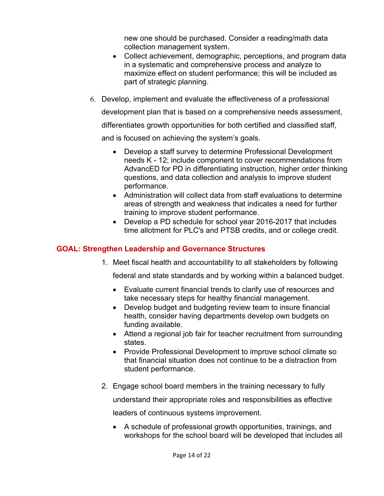new one should be purchased. Consider a reading/math data collection management system.

- Collect achievement, demographic, perceptions, and program data in a systematic and comprehensive process and analyze to maximize effect on student performance; this will be included as part of strategic planning.
- 6. Develop, implement and evaluate the effectiveness of a professional

development plan that is based on a comprehensive needs assessment,

differentiates growth opportunities for both certified and classified staff,

and is focused on achieving the system's goals.

- Develop a staff survey to determine Professional Development needs K - 12; include component to cover recommendations from AdvancED for PD in differentiating instruction, higher order thinking questions, and data collection and analysis to improve student performance.
- Administration will collect data from staff evaluations to determine areas of strength and weakness that indicates a need for further training to improve student performance.
- Develop a PD schedule for school year 2016-2017 that includes time allotment for PLC's and PTSB credits, and or college credit.

#### **GOAL: Strengthen Leadership and Governance Structures**

1. Meet fiscal health and accountability to all stakeholders by following

federal and state standards and by working within a balanced budget.

- Evaluate current financial trends to clarify use of resources and take necessary steps for healthy financial management.
- Develop budget and budgeting review team to insure financial health, consider having departments develop own budgets on funding available.
- Attend a regional job fair for teacher recruitment from surrounding states.
- Provide Professional Development to improve school climate so that financial situation does not continue to be a distraction from student performance.
- 2. Engage school board members in the training necessary to fully

understand their appropriate roles and responsibilities as effective

leaders of continuous systems improvement.

• A schedule of professional growth opportunities, trainings, and workshops for the school board will be developed that includes all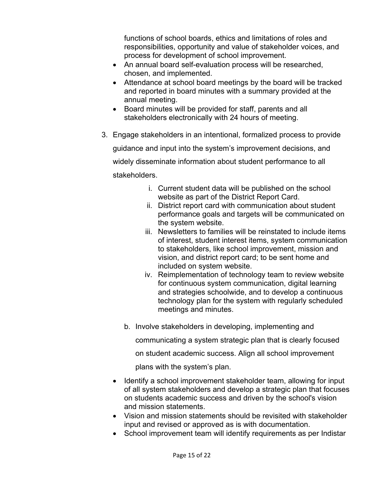functions of school boards, ethics and limitations of roles and responsibilities, opportunity and value of stakeholder voices, and process for development of school improvement.

- An annual board self-evaluation process will be researched, chosen, and implemented.
- Attendance at school board meetings by the board will be tracked and reported in board minutes with a summary provided at the annual meeting.
- Board minutes will be provided for staff, parents and all stakeholders electronically with 24 hours of meeting.
- 3. Engage stakeholders in an intentional, formalized process to provide guidance and input into the system's improvement decisions, and widely disseminate information about student performance to all stakeholders.
	- i. Current student data will be published on the school website as part of the District Report Card.
	- ii. District report card with communication about student performance goals and targets will be communicated on the system website.
	- iii. Newsletters to families will be reinstated to include items of interest, student interest items, system communication to stakeholders, like school improvement, mission and vision, and district report card; to be sent home and included on system website.
	- iv. Reimplementation of technology team to review website for continuous system communication, digital learning and strategies schoolwide, and to develop a continuous technology plan for the system with regularly scheduled meetings and minutes.
	- b. Involve stakeholders in developing, implementing and

communicating a system strategic plan that is clearly focused

on student academic success. Align all school improvement

plans with the system's plan.

- Identify a school improvement stakeholder team, allowing for input of all system stakeholders and develop a strategic plan that focuses on students academic success and driven by the school's vision and mission statements.
- Vision and mission statements should be revisited with stakeholder input and revised or approved as is with documentation.
- School improvement team will identify requirements as per Indistar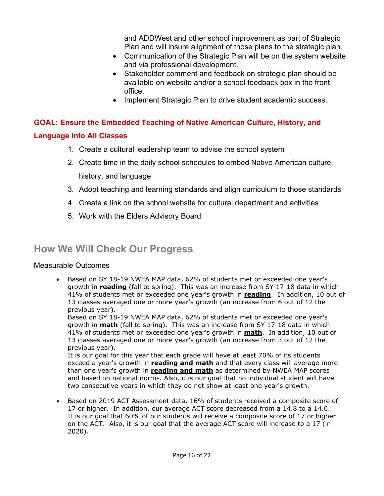and ADDWest and other school improvement as part of Strategic Plan and will insure alignment of those plans to the strategic plan.

- Communication of the Strategic Plan will be on the system website and via professional development.
- Stakeholder comment and feedback on strategic plan should be available on website and/or a school feedback box in the front office.
- Implement Strategic Plan to drive student academic success.

#### **GOAL: Ensure the Embedded Teaching of Native American Culture, History, and**

#### **Language into All Classes**

- 1. Create a cultural leadership team to advise the school system
- 2. Create time in the daily school schedules to embed Native American culture, history, and language
- 3. Adopt teaching and learning standards and align curriculum to those standards
- 4. Create a link on the school website for cultural department and activities
- 5. Work with the Elders Advisory Board

# **How We Will Check Our Progress**

#### Measurable Outcomes

• Based on SY 18-19 NWEA MAP data, 62% of students met or exceeded one year's growth in **reading** (fall to spring). This was an increase from SY 17-18 data in which 41% of students met or exceeded one year's growth in **reading**. In addition, 10 out of 13 classes averaged one or more year's growth (an increase from 6 out of 12 the previous year).

Based on SY 18-19 NWEA MAP data, 62% of students met or exceeded one year's growth in **math** (fall to spring). This was an increase from SY 17-18 data in which 41% of students met or exceeded one year's growth in **math**. In addition, 10 out of 13 classes averaged one or more year's growth (an increase from 3 out of 12 the previous year).

It is our goal for this year that each grade will have at least 70% of its students exceed a year's growth in **reading and math** and that every class will average more than one year's growth in **reading and math** as determined by NWEA MAP scores and based on national norms. Also, it is our goal that no individual student will have two consecutive years in which they do not show at least one year's growth.

• Based on 2019 ACT Assessment data, 16% of students received a composite score of 17 or higher. In addition, our average ACT score decreased from a 14.8 to a 14.0. It is our goal that 60% of our students will receive a composite score of 17 or higher on the ACT. Also, it is our goal that the average ACT score will increase to a 17 (in 2020).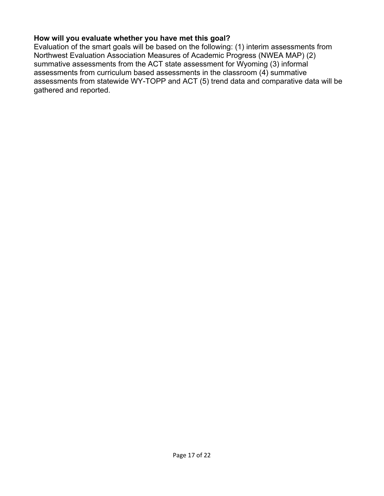#### **How will you evaluate whether you have met this goal?**

Evaluation of the smart goals will be based on the following: (1) interim assessments from Northwest Evaluation Association Measures of Academic Progress (NWEA MAP) (2) summative assessments from the ACT state assessment for Wyoming (3) informal assessments from curriculum based assessments in the classroom (4) summative assessments from statewide WY-TOPP and ACT (5) trend data and comparative data will be gathered and reported.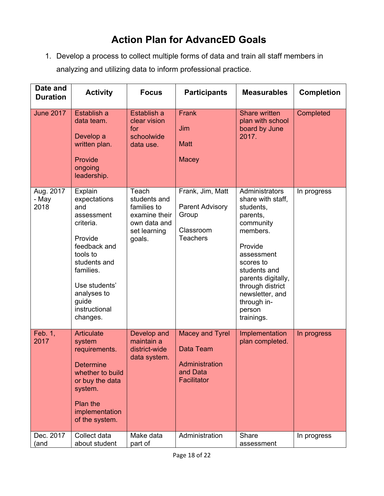# **Action Plan for AdvancED Goals**

1. Develop a process to collect multiple forms of data and train all staff members in analyzing and utilizing data to inform professional practice.

| Date and<br><b>Duration</b> | <b>Activity</b>                                                                                                                                                                                     | <b>Focus</b>                                                                                    | <b>Participants</b>                                                                 | <b>Measurables</b>                                                                                                                                                                                                                              | <b>Completion</b> |
|-----------------------------|-----------------------------------------------------------------------------------------------------------------------------------------------------------------------------------------------------|-------------------------------------------------------------------------------------------------|-------------------------------------------------------------------------------------|-------------------------------------------------------------------------------------------------------------------------------------------------------------------------------------------------------------------------------------------------|-------------------|
| <b>June 2017</b>            | Establish a<br>data team.<br>Develop a<br>written plan.<br>Provide<br>ongoing<br>leadership.                                                                                                        | Establish a<br>clear vision<br>for<br>schoolwide<br>data use.                                   | Frank<br>Jim<br><b>Matt</b><br>Macey                                                | <b>Share written</b><br>plan with school<br>board by June<br>2017.                                                                                                                                                                              | Completed         |
| Aug. 2017<br>- May<br>2018  | Explain<br>expectations<br>and<br>assessment<br>criteria.<br>Provide<br>feedback and<br>tools to<br>students and<br>families.<br>Use students'<br>analyses to<br>guide<br>instructional<br>changes. | Teach<br>students and<br>families to<br>examine their<br>own data and<br>set learning<br>goals. | Frank, Jim, Matt<br><b>Parent Advisory</b><br>Group<br>Classroom<br><b>Teachers</b> | Administrators<br>share with staff,<br>students,<br>parents,<br>community<br>members.<br>Provide<br>assessment<br>scores to<br>students and<br>parents digitally,<br>through district<br>newsletter, and<br>through in-<br>person<br>trainings. | In progress       |
| Feb. 1,<br>2017             | <b>Articulate</b><br>system<br>requirements.<br><b>Determine</b><br>whether to build<br>or buy the data<br>system.<br>Plan the<br>implementation<br>of the system.                                  | Develop and<br>maintain a<br>district-wide<br>data system.                                      | Macey and Tyrel<br>Data Team<br>Administration<br>and Data<br>Facilitator           | Implementation<br>plan completed.                                                                                                                                                                                                               | In progress       |
| Dec. 2017<br>(and           | Collect data<br>about student                                                                                                                                                                       | Make data<br>part of                                                                            | Administration                                                                      | Share<br>assessment                                                                                                                                                                                                                             | In progress       |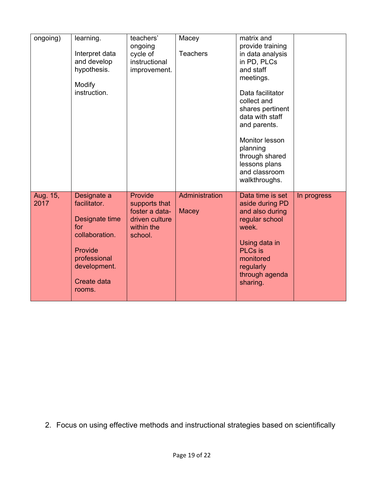| ongoing)         | learning.<br>Interpret data<br>and develop<br>hypothesis.<br>Modify<br>instruction.                                                        | teachers'<br>ongoing<br>cycle of<br>instructional<br>improvement.                     | Macey<br><b>Teachers</b>       | matrix and<br>provide training<br>in data analysis<br>in PD, PLCs<br>and staff<br>meetings.<br>Data facilitator<br>collect and<br>shares pertinent<br>data with staff<br>and parents.<br>Monitor lesson<br>planning<br>through shared<br>lessons plans<br>and classroom<br>walkthroughs. |             |
|------------------|--------------------------------------------------------------------------------------------------------------------------------------------|---------------------------------------------------------------------------------------|--------------------------------|------------------------------------------------------------------------------------------------------------------------------------------------------------------------------------------------------------------------------------------------------------------------------------------|-------------|
| Aug. 15,<br>2017 | Designate a<br>facilitator.<br>Designate time<br>for<br>collaboration.<br>Provide<br>professional<br>development.<br>Create data<br>rooms. | Provide<br>supports that<br>foster a data-<br>driven culture<br>within the<br>school. | Administration<br><b>Macey</b> | Data time is set<br>aside during PD<br>and also during<br>regular school<br>week.<br>Using data in<br><b>PLCs</b> is<br>monitored<br>regularly<br>through agenda<br>sharing.                                                                                                             | In progress |

2. Focus on using effective methods and instructional strategies based on scientifically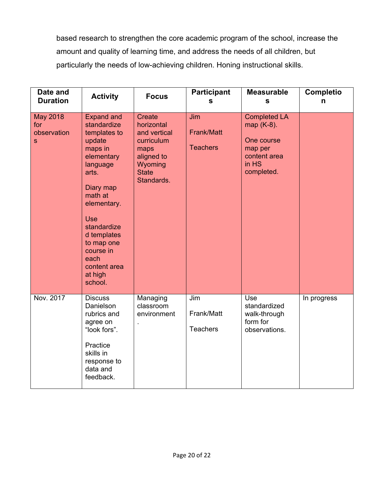based research to strengthen the core academic program of the school, increase the amount and quality of learning time, and address the needs of all children, but particularly the needs of low-achieving children. Honing instructional skills.

| Date and<br><b>Duration</b>                           | <b>Activity</b>                                                                                                                                                                                                                                                      | <b>Focus</b>                                                                                                             | <b>Participant</b><br>S              | <b>Measurable</b><br>S                                                                            | <b>Completio</b><br>n |
|-------------------------------------------------------|----------------------------------------------------------------------------------------------------------------------------------------------------------------------------------------------------------------------------------------------------------------------|--------------------------------------------------------------------------------------------------------------------------|--------------------------------------|---------------------------------------------------------------------------------------------------|-----------------------|
| <b>May 2018</b><br>for<br>observation<br><sub>S</sub> | <b>Expand and</b><br>standardize<br>templates to<br>update<br>maps in<br>elementary<br>language<br>arts.<br>Diary map<br>math at<br>elementary.<br><b>Use</b><br>standardize<br>d templates<br>to map one<br>course in<br>each<br>content area<br>at high<br>school. | <b>Create</b><br>horizontal<br>and vertical<br>curriculum<br>maps<br>aligned to<br>Wyoming<br><b>State</b><br>Standards. | Jim<br>Frank/Matt<br><b>Teachers</b> | <b>Completed LA</b><br>map (K-8).<br>One course<br>map per<br>content area<br>in HS<br>completed. |                       |
| Nov. 2017                                             | <b>Discuss</b><br>Danielson<br>rubrics and<br>agree on<br>"look fors".<br>Practice<br>skills in<br>response to<br>data and<br>feedback.                                                                                                                              | Managing<br>classroom<br>environment                                                                                     | Jim<br>Frank/Matt<br><b>Teachers</b> | Use<br>standardized<br>walk-through<br>form for<br>observations.                                  | In progress           |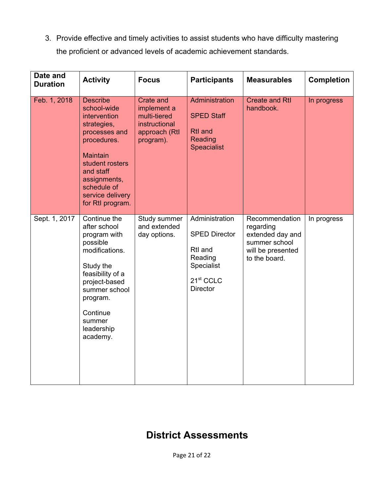3. Provide effective and timely activities to assist students who have difficulty mastering the proficient or advanced levels of academic achievement standards.

| Date and<br><b>Duration</b> | <b>Activity</b>                                                                                                                                                                                                         | <b>Focus</b>                                                                                   | <b>Participants</b>                                                                                                    | <b>Measurables</b>                                                                                     | <b>Completion</b> |
|-----------------------------|-------------------------------------------------------------------------------------------------------------------------------------------------------------------------------------------------------------------------|------------------------------------------------------------------------------------------------|------------------------------------------------------------------------------------------------------------------------|--------------------------------------------------------------------------------------------------------|-------------------|
| Feb. 1, 2018                | <b>Describe</b><br>school-wide<br>intervention<br>strategies,<br>processes and<br>procedures.<br><b>Maintain</b><br>student rosters<br>and staff<br>assignments,<br>schedule of<br>service delivery<br>for Rtl program. | <b>Crate and</b><br>implement a<br>multi-tiered<br>instructional<br>approach (Rtl<br>program). | Administration<br><b>SPED Staff</b><br><b>Rtl</b> and<br>Reading<br><b>Speacialist</b>                                 | <b>Create and Rtl</b><br>handbook.                                                                     | In progress       |
| Sept. 1, 2017               | Continue the<br>after school<br>program with<br>possible<br>modifications.<br>Study the<br>feasibility of a<br>project-based<br>summer school<br>program.<br>Continue<br>summer<br>leadership<br>academy.               | Study summer<br>and extended<br>day options.                                                   | Administration<br><b>SPED Director</b><br>Rtl and<br>Reading<br>Specialist<br>21 <sup>st</sup> CCLC<br><b>Director</b> | Recommendation<br>regarding<br>extended day and<br>summer school<br>will be presented<br>to the board. | In progress       |

### **District Assessments**